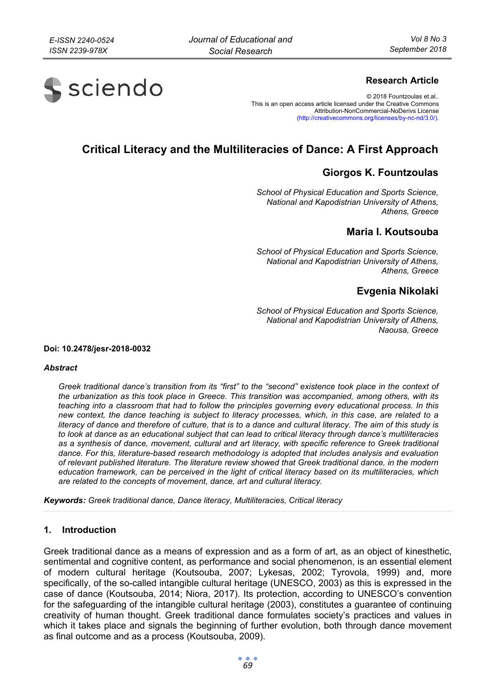# **S** sciendo

## **Research Article**

© 2018 Fountzoulas et.al.. This is an open access article licensed under the Creative Commons Attribution-NonCommercial-NoDerivs License (http://creativecommons.org/licenses/by-nc-nd/3.0/).

## **Critical Literacy and the Multiliteracies of Dance: A First Approach**

## **Giorgos K. Fountzoulas**

*School of Physical Education and Sports Science, National and Kapodistrian University of Athens, Athens, Greece* 

## **Maria I. Koutsouba**

*School of Physical Education and Sports Science, National and Kapodistrian University of Athens, Athens, Greece* 

## **Evgenia Nikolaki**

*School of Physical Education and Sports Science, National and Kapodistrian University of Athens, Naousa, Greece* 

**Doi: 10.2478/jesr-2018-0032** 

#### *Abstract*

*Greek traditional dance's transition from its "first" to the "second" existence took place in the context of the urbanization as this took place in Greece. This transition was accompanied, among others, with its teaching into a classroom that had to follow the principles governing every educational process. In this new context, the dance teaching is subject to literacy processes, which, in this case, are related to a literacy of dance and therefore of culture, that is to a dance and cultural literacy. The aim of this study is to look at dance as an educational subject that can lead to critical literacy through dance's multiliteracies as a synthesis of dance, movement, cultural and art literacy, with specific reference to Greek traditional dance. For this, literature-based research methodology is adopted that includes analysis and evaluation of relevant published literature. The literature review showed that Greek traditional dance, in the modern education framework, can be perceived in the light of critical literacy based on its multiliteracies, which are related to the concepts of movement, dance, art and cultural literacy.* 

*Keywords: Greek traditional dance, Dance literacy, Multiliteracies, Critical literacy* 

#### **1. Introduction**

Greek traditional dance as a means of expression and as a form of art, as an object of kinesthetic, sentimental and cognitive content, as performance and social phenomenon, is an essential element of modern cultural heritage (Koutsouba, 2007; Lykesas, 2002; Tyrovola, 1999) and, more specifically, of the so-called intangible cultural heritage (UNESCO, 2003) as this is expressed in the case of dance (Koutsouba, 2014; Niora, 2017). Its protection, according to UNESCO's convention for the safeguarding of the intangible cultural heritage (2003), constitutes a guarantee of continuing creativity of human thought. Greek traditional dance formulates society's practices and values in which it takes place and signals the beginning of further evolution, both through dance movement as final outcome and as a process (Koutsouba, 2009).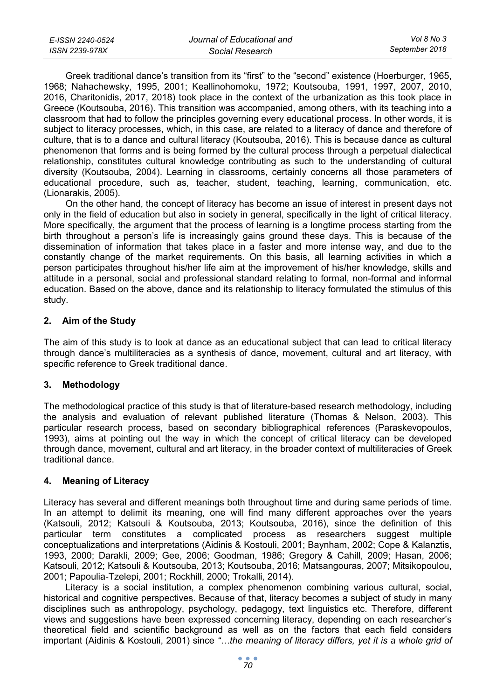| E-ISSN 2240-0524 | Journal of Educational and | Vol 8 No 3     |
|------------------|----------------------------|----------------|
| ISSN 2239-978X   | Social Research            | September 2018 |

Greek traditional dance's transition from its "first" to the "second" existence (Hoerburger, 1965, 1968; Nahachewsky, 1995, 2001; Keallinohomoku, 1972; Koutsouba, 1991, 1997, 2007, 2010, 2016, Charitonidis, 2017, 2018) took place in the context of the urbanization as this took place in Greece (Koutsouba, 2016). This transition was accompanied, among others, with its teaching into a classroom that had to follow the principles governing every educational process. In other words, it is subject to literacy processes, which, in this case, are related to a literacy of dance and therefore of culture, that is to a dance and cultural literacy (Koutsouba, 2016). This is because dance as cultural phenomenon that forms and is being formed by the cultural process through a perpetual dialectical relationship, constitutes cultural knowledge contributing as such to the understanding of cultural diversity (Koutsouba, 2004). Learning in classrooms, certainly concerns all those parameters of educational procedure, such as, teacher, student, teaching, learning, communication, etc. (Lionarakis, 2005).

On the other hand, the concept of literacy has become an issue of interest in present days not only in the field of education but also in society in general, specifically in the light of critical literacy. More specifically, the argument that the process of learning is a longtime process starting from the birth throughout a person's life is increasingly gains ground these days. This is because of the dissemination of information that takes place in a faster and more intense way, and due to the constantly change of the market requirements. On this basis, all learning activities in which a person participates throughout his/her life aim at the improvement of his/her knowledge, skills and attitude in a personal, social and professional standard relating to formal, non-formal and informal education. Based on the above, dance and its relationship to literacy formulated the stimulus of this study.

#### **2. Aim of the Study**

The aim of this study is to look at dance as an educational subject that can lead to critical literacy through dance's multiliteracies as a synthesis of dance, movement, cultural and art literacy, with specific reference to Greek traditional dance.

#### **3. Methodology**

The methodological practice of this study is that of literature-based research methodology, including the analysis and evaluation of relevant published literature (Thomas & Nelson, 2003). This particular research process, based on secondary bibliographical references (Paraskevopoulos, 1993), aims at pointing out the way in which the concept of critical literacy can be developed through dance, movement, cultural and art literacy, in the broader context of multiliteracies of Greek traditional dance.

## **4. Meaning of Literacy**

Literacy has several and different meanings both throughout time and during same periods of time. In an attempt to delimit its meaning, one will find many different approaches over the years (Katsouli, 2012; Katsouli & Koutsouba, 2013; Koutsouba, 2016), since the definition of this particular term constitutes a complicated process as researchers suggest multiple conceptualizations and interpretations (Aidinis & Kostouli, 2001; Baynham, 2002; Cope & Kalanztis, 1993, 2000; Darakli, 2009; Gee, 2006; Goodman, 1986; Gregory & Cahill, 2009; Hasan, 2006; Katsouli, 2012; Katsouli & Koutsouba, 2013; Koutsouba, 2016; Matsangouras, 2007; Mitsikopoulou, 2001; Papoulia-Tzelepi, 2001; Rockhill, 2000; Trokalli, 2014).

Literacy is a social institution, a complex phenomenon combining various cultural, social, historical and cognitive perspectives. Because of that, literacy becomes a subject of study in many disciplines such as anthropology, psychology, pedagogy, text linguistics etc. Therefore, different views and suggestions have been expressed concerning literacy, depending on each researcher's theoretical field and scientific background as well as on the factors that each field considers important (Aidinis & Kostouli, 2001) since *"…the meaning of literacy differs, yet it is a whole grid of*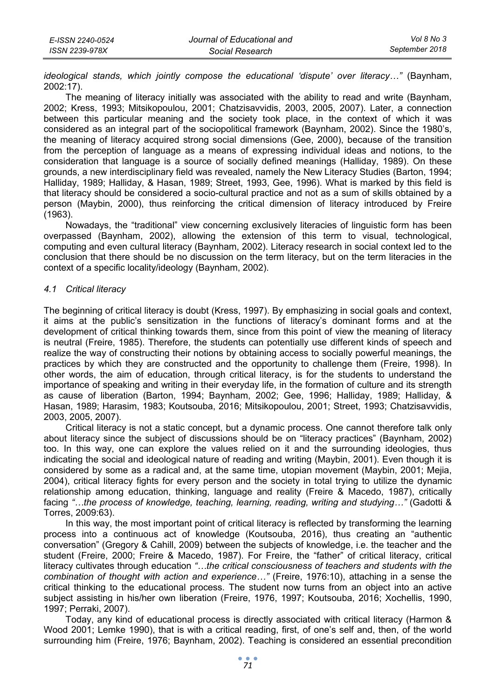| E-ISSN 2240-0524 | Journal of Educational and | Vol 8 No 3     |
|------------------|----------------------------|----------------|
| ISSN 2239-978X   | Social Research            | September 2018 |

*ideological stands, which jointly compose the educational 'dispute' over literacy…"* (Baynham, 2002:17).

The meaning of literacy initially was associated with the ability to read and write (Baynham, 2002; Kress, 1993; Mitsikopoulou, 2001; Chatzisavvidis, 2003, 2005, 2007). Later, a connection between this particular meaning and the society took place, in the context of which it was considered as an integral part of the sociopolitical framework (Baynham, 2002). Since the 1980's, the meaning of literacy acquired strong social dimensions (Gee, 2000), because of the transition from the perception of language as a means of expressing individual ideas and notions, to the consideration that language is a source of socially defined meanings (Halliday, 1989). On these grounds, a new interdisciplinary field was revealed, namely the New Literacy Studies (Barton, 1994; Halliday, 1989; Halliday, & Hasan, 1989; Street, 1993, Gee, 1996). What is marked by this field is that literacy should be considered a socio-cultural practice and not as a sum of skills obtained by a person (Maybin, 2000), thus reinforcing the critical dimension of literacy introduced by Freire (1963).

Nowadays, the "traditional" view concerning exclusively literacies of linguistic form has been overpassed (Baynham, 2002), allowing the extension of this term to visual, technological, computing and even cultural literacy (Baynham, 2002). Literacy research in social context led to the conclusion that there should be no discussion on the term literacy, but on the term literacies in the context of a specific locality/ideology (Baynham, 2002).

#### *4.1 Critical literacy*

The beginning of critical literacy is doubt (Kress, 1997). By emphasizing in social goals and context, it aims at the public's sensitization in the functions of literacy's dominant forms and at the development of critical thinking towards them, since from this point of view the meaning of literacy is neutral (Freire, 1985). Therefore, the students can potentially use different kinds of speech and realize the way of constructing their notions by obtaining access to socially powerful meanings, the practices by which they are constructed and the opportunity to challenge them (Freire, 1998). In other words, the aim of education, through critical literacy, is for the students to understand the importance of speaking and writing in their everyday life, in the formation of culture and its strength as cause of liberation (Barton, 1994; Baynham, 2002; Gee, 1996; Halliday, 1989; Halliday, & Hasan, 1989; Harasim, 1983; Koutsouba, 2016; Mitsikopoulou, 2001; Street, 1993; Chatzisavvidis, 2003, 2005, 2007).

Critical literacy is not a static concept, but a dynamic process. One cannot therefore talk only about literacy since the subject of discussions should be on "literacy practices" (Baynham, 2002) too. In this way, one can explore the values relied on it and the surrounding ideologies, thus indicating the social and ideological nature of reading and writing (Maybin, 2001). Even though it is considered by some as a radical and, at the same time, utopian movement (Maybin, 2001; Mejia, 2004), critical literacy fights for every person and the society in total trying to utilize the dynamic relationship among education, thinking, language and reality (Freire & Macedo, 1987), critically facing "...the process of knowledge, teaching, learning, reading, writing and studying..." (Gadotti & Torres, 2009:63).

In this way, the most important point of critical literacy is reflected by transforming the learning process into a continuous act of knowledge (Koutsouba, 2016), thus creating an "authentic conversation" (Gregory & Cahill, 2009) between the subjects of knowledge, i.e. the teacher and the student (Freire, 2000; Freire & Macedo, 1987). For Freire, the "father" of critical literacy, critical literacy cultivates through education *"…the critical consciousness of teachers and students with the combination of thought with action and experience…"* (Freire, 1976:10), attaching in a sense the critical thinking to the educational process. The student now turns from an object into an active subject assisting in his/her own liberation (Freire, 1976, 1997; Koutsouba, 2016; Xochellis, 1990, 1997; Perraki, 2007).

Today, any kind of educational process is directly associated with critical literacy (Harmon & Wood 2001; Lemke 1990), that is with a critical reading, first, of one's self and, then, of the world surrounding him (Freire, 1976; Baynham, 2002). Teaching is considered an essential precondition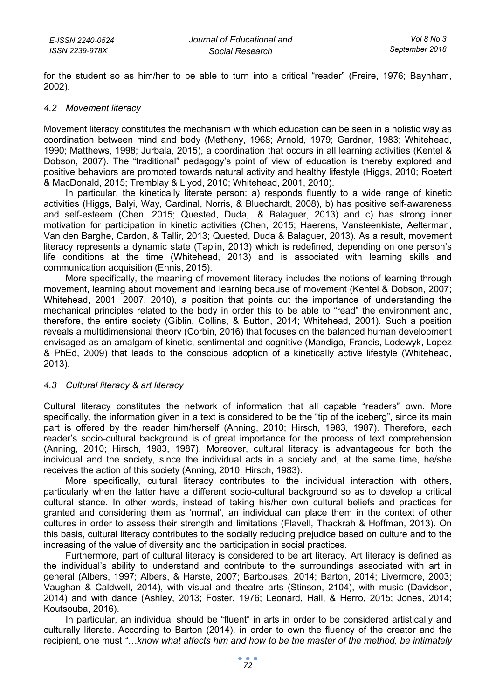for the student so as him/her to be able to turn into a critical "reader" (Freire, 1976; Baynham, 2002).

#### *4.2 Movement literacy*

Movement literacy constitutes the mechanism with which education can be seen in a holistic way as coordination between mind and body (Metheny, 1968; Arnold, 1979; Gardner, 1983; Whitehead, 1990; Matthews, 1998; Jurbala, 2015), a coordination that occurs in all learning activities (Kentel & Dobson, 2007). The "traditional" pedagogy's point of view of education is thereby explored and positive behaviors are promoted towards natural activity and healthy lifestyle (Higgs, 2010; Roetert & MacDonald, 2015; Tremblay & Llyod, 2010; Whitehead, 2001, 2010).

In particular, the kinetically literate person: a) responds fluently to a wide range of kinetic activities (Higgs, Balyi, Way, Cardinal, Norris, & Bluechardt, 2008), b) has positive self-awareness and self-esteem (Chen, 2015; Quested, Duda,. & Balaguer, 2013) and c) has strong inner motivation for participation in kinetic activities (Chen, 2015; Haerens, Vansteenkiste, Aelterman, Van den Barghe, Cardon, & Tallir, 2013; Quested, Duda & Balaguer, 2013). As a result, movement literacy represents a dynamic state (Taplin, 2013) which is redefined, depending on one person's life conditions at the time (Whitehead, 2013) and is associated with learning skills and communication acquisition (Ennis, 2015).

More specifically, the meaning of movement literacy includes the notions of learning through movement, learning about movement and learning because of movement (Kentel & Dobson, 2007; Whitehead, 2001, 2007, 2010), a position that points out the importance of understanding the mechanical principles related to the body in order this to be able to "read" the environment and, therefore, the entire society (Giblin, Collins, & Button, 2014; Whitehead, 2001). Such a position reveals a multidimensional theory (Corbin, 2016) that focuses on the balanced human development envisaged as an amalgam of kinetic, sentimental and cognitive (Mandigo, Francis, Lodewyk, Lopez & PhEd, 2009) that leads to the conscious adoption of a kinetically active lifestyle (Whitehead, 2013).

#### *4.3 Cultural literacy & art literacy*

Cultural literacy constitutes the network of information that all capable "readers" own. More specifically, the information given in a text is considered to be the "tip of the iceberg", since its main part is offered by the reader him/herself (Anning, 2010; Hirsch, 1983, 1987). Therefore, each reader's socio-cultural background is of great importance for the process of text comprehension (Anning, 2010; Hirsch, 1983, 1987). Moreover, cultural literacy is advantageous for both the individual and the society, since the individual acts in a society and, at the same time, he/she receives the action of this society (Anning, 2010; Hirsch, 1983).

More specifically, cultural literacy contributes to the individual interaction with others, particularly when the latter have a different socio-cultural background so as to develop a critical cultural stance. In other words, instead of taking his/her own cultural beliefs and practices for granted and considering them as 'normal', an individual can place them in the context of other cultures in order to assess their strength and limitations (Flavell, Thackrah & Hoffman, 2013). On this basis, cultural literacy contributes to the socially reducing prejudice based on culture and to the increasing of the value of diversity and the participation in social practices.

Furthermore, part of cultural literacy is considered to be art literacy. Art literacy is defined as the individual's ability to understand and contribute to the surroundings associated with art in general (Albers, 1997; Albers, & Harste, 2007; Barbousas, 2014; Barton, 2014; Livermore, 2003; Vaughan & Caldwell, 2014), with visual and theatre arts (Stinson, 2104), with music (Davidson, 2014) and with dance (Ashley, 2013; Foster, 1976; Leonard, Hall, & Herro, 2015; Jones, 2014; Koutsouba, 2016).

In particular, an individual should be "fluent" in arts in order to be considered artistically and culturally literate. According to Barton (2014), in order to own the fluency of the creator and the recipient, one must *"…know what affects him and how to be the master of the method, be intimately*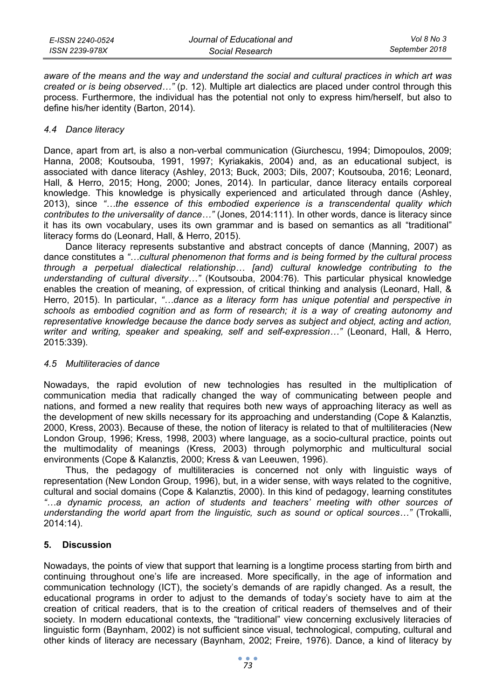*aware of the means and the way and understand the social and cultural practices in which art was created or is being observed…"* (p. 12). Multiple art dialectics are placed under control through this process. Furthermore, the individual has the potential not only to express him/herself, but also to define his/her identity (Barton, 2014).

## *4.4 Dance literacy*

Dance, apart from art, is also a non-verbal communication (Giurchescu, 1994; Dimopoulos, 2009; Hanna, 2008; Koutsouba, 1991, 1997; Kyriakakis, 2004) and, as an educational subject, is associated with dance literacy (Ashley, 2013; Buck, 2003; Dils, 2007; Koutsouba, 2016; Leonard, Hall, & Herro, 2015; Hong, 2000; Jones, 2014). In particular, dance literacy entails corporeal knowledge. This knowledge is physically experienced and articulated through dance (Ashley, 2013), since *"…the essence of this embodied experience is a transcendental quality which contributes to the universality of dance…"* (Jones, 2014:111). In other words, dance is literacy since it has its own vocabulary, uses its own grammar and is based on semantics as all "traditional" literacy forms do (Leonard, Hall, & Herro, 2015).

Dance literacy represents substantive and abstract concepts of dance (Manning, 2007) as dance constitutes a *"…cultural phenomenon that forms and is being formed by the cultural process through a perpetual dialectical relationship… [and) cultural knowledge contributing to the understanding of cultural diversity…"* (Koutsouba, 2004:76). This particular physical knowledge enables the creation of meaning, of expression, of critical thinking and analysis (Leonard, Hall, & Herro, 2015). In particular, *"…dance as a literacy form has unique potential and perspective in schools as embodied cognition and as form of research; it is a way of creating autonomy and representative knowledge because the dance body serves as subject and object, acting and action, writer and writing, speaker and speaking, self and self-expression…"* (Leonard, Hall, & Herro, 2015:339).

#### *4.5 Multiliteracies of dance*

Nowadays, the rapid evolution of new technologies has resulted in the multiplication of communication media that radically changed the way of communicating between people and nations, and formed a new reality that requires both new ways of approaching literacy as well as the development of new skills necessary for its approaching and understanding (Cope & Kalanztis, 2000, Kress, 2003). Because of these, the notion of literacy is related to that of multiliteracies (New London Group, 1996; Kress, 1998, 2003) where language, as a socio-cultural practice, points out the multimodality of meanings (Kress, 2003) through polymorphic and multicultural social environments (Cope & Kalanztis, 2000; Kress & van Leeuwen, 1996).

Thus, the pedagogy of multiliteracies is concerned not only with linguistic ways of representation (New London Group, 1996), but, in a wider sense, with ways related to the cognitive, cultural and social domains (Cope & Kalanztis, 2000). In this kind of pedagogy, learning constitutes *"…a dynamic process, an action of students and teachers' meeting with other sources of understanding the world apart from the linguistic, such as sound or optical sources…"* (Trokalli, 2014:14).

## **5. Discussion**

Nowadays, the points of view that support that learning is a longtime process starting from birth and continuing throughout one's life are increased. More specifically, in the age of information and communication technology (ICT), the society's demands of are rapidly changed. As a result, the educational programs in order to adjust to the demands of today's society have to aim at the creation of critical readers, that is to the creation of critical readers of themselves and of their society. In modern educational contexts, the "traditional" view concerning exclusively literacies of linguistic form (Baynham, 2002) is not sufficient since visual, technological, computing, cultural and other kinds of literacy are necessary (Baynham, 2002; Freire, 1976). Dance, a kind of literacy by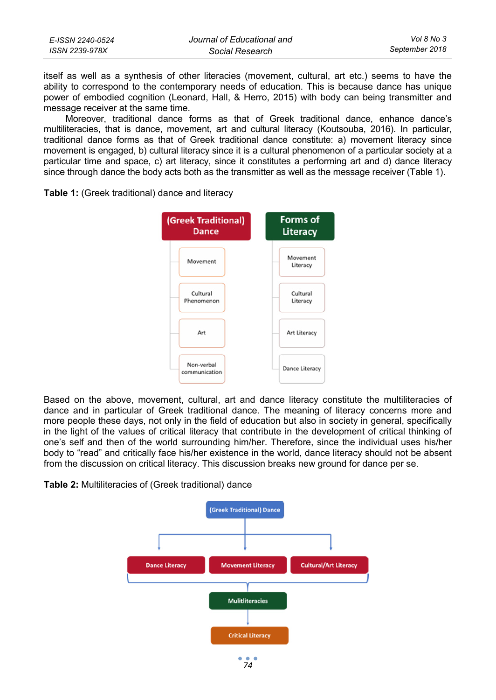| E-ISSN 2240-0524 | Journal of Educational and | Vol 8 No 3     |
|------------------|----------------------------|----------------|
| ISSN 2239-978X   | Social Research            | September 2018 |

itself as well as a synthesis of other literacies (movement, cultural, art etc.) seems to have the ability to correspond to the contemporary needs of education. This is because dance has unique power of embodied cognition (Leonard, Hall, & Herro, 2015) with body can being transmitter and message receiver at the same time.

Moreover, traditional dance forms as that of Greek traditional dance, enhance dance's multiliteracies, that is dance, movement, art and cultural literacy (Koutsouba, 2016). In particular, traditional dance forms as that of Greek traditional dance constitute: a) movement literacy since movement is engaged, b) cultural literacy since it is a cultural phenomenon of a particular society at a particular time and space, c) art literacy, since it constitutes a performing art and d) dance literacy since through dance the body acts both as the transmitter as well as the message receiver (Table 1).



**Table 1:** (Greek traditional) dance and literacy

Based on the above, movement, cultural, art and dance literacy constitute the multiliteracies of dance and in particular of Greek traditional dance. The meaning of literacy concerns more and more people these days, not only in the field of education but also in society in general, specifically in the light of the values of critical literacy that contribute in the development of critical thinking of one's self and then of the world surrounding him/her. Therefore, since the individual uses his/her body to "read" and critically face his/her existence in the world, dance literacy should not be absent from the discussion on critical literacy. This discussion breaks new ground for dance per se.

**Table 2:** Multiliteracies of (Greek traditional) dance

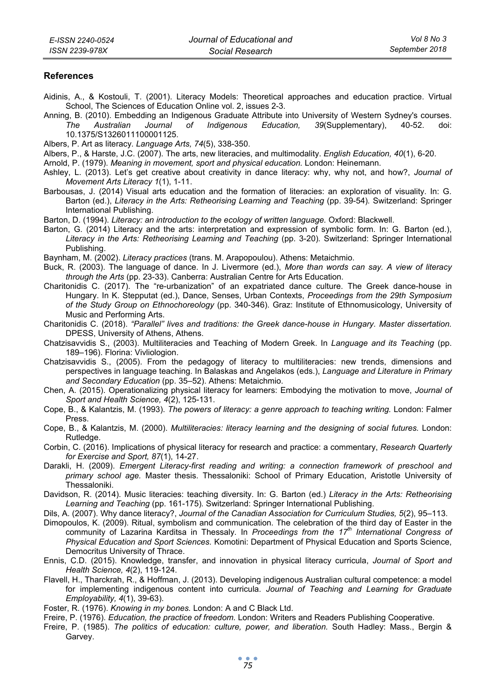#### **References**

- Aidinis, Α., & Kostouli, Τ. (2001). Literacy Models: Theoretical approaches and education practice. Virtual School, The Sciences of Education Online vol. 2, issues 2-3.
- Anning, B. (2010). Embedding an Indigenous Graduate Attribute into University of Western Sydney's courses. *The Australian Journal of Indigenous Education, 39*(Supplementary), 40-52. doi: 10.1375/S1326011100001125.
- Albers, P. Art as literacy. *Language Arts, 74*(5), 338-350.
- Albers, P., & Harste, J.C. (2007). The arts, new literacies, and multimodality. *English Education, 40*(1), 6-20.
- Arnold, P. (1979). *Meaning in movement, sport and physical education.* London: Heinemann.
- Ashley, L. (2013). Let's get creative about creativity in dance literacy: why, why not, and how?, *Journal of Movement Arts Literacy 1*(1), 1-11.
- Barbousas, J. (2014) Visual arts education and the formation of literacies: an exploration of visuality. In: G. Barton (ed.), *Literacy in the Arts: Retheorising Learning and Teaching* (pp. 39-54)*.* Switzerland: Springer International Publishing.
- Barton, D. (1994). *Literacy: an introduction to the ecology of written language.* Oxford: Blackwell.
- Barton, G. (2014) Literacy and the arts: interpretation and expression of symbolic form. In: G. Barton (ed.), *Literacy in the Arts: Retheorising Learning and Teaching* (pp. 3-20)*.* Switzerland: Springer International Publishing.
- Baynham, M. (2002). *Literacy practices* (trans. Μ. Arapopoulou). Athens: Metaichmio.
- Buck, R. (2003). The language of dance. In J. Livermore (ed.), *More than words can say. A view of literacy through the Arts* (pp. 23-33). Canberra: Australian Centre for Arts Education.
- Charitonidis C. (2017). The "re-urbanization" of an expatriated dance culture. The Greek dance-house in Hungary. In K. Stepputat (ed.), Dance, Senses, Urban Contexts, *Proceedings from the 29th Symposium of the Study Group on Ethnochoreology* (pp. 340-346). Graz: Institute of Ethnomusicology, University of Music and Performing Arts.
- Charitonidis C. (2018). *"Parallel" lives and traditions: the Greek dance-house in Hungary. Master dissertation.* DPESS, University of Athens, Athens.
- Chatzisavvidis S., (2003). Multiliteracies and Teaching of Modern Greek. In *Language and its Teaching* (pp. 189–196). Florina: Vivliologion.
- Chatzisavvidis S., (2005). From the pedagogy of literacy to multiliteracies: new trends, dimensions and perspectives in language teaching. In Balaskas and Angelakos (eds.), *Language and Literature in Primary and Secondary Education* (pp. 35–52). Athens: Metaichmio.
- Chen, A. (2015). Operationalizing physical literacy for learners: Embodying the motivation to move, *Journal of Sport and Health Science, 4*(2), 125-131.
- Cope, B., & Kalantzis, M. (1993). *The powers of literacy: a genre approach to teaching writing.* London: Falmer Press.
- Cope, B., & Kalantzis, M. (2000). *Multiliteracies: literacy learning and the designing of social futures.* London: Rutledge.
- Corbin, C. (2016). Implications of physical literacy for research and practice: a commentary, *Research Quarterly for Exercise and Sport, 87*(1), 14-27.
- Darakli, H. (2009). *Emergent Literacy-first reading and writing: a connection framework of preschool and primary school age.* Master thesis. Thessaloniki: School of Primary Education, Aristotle University of Thessaloniki.
- Davidson, R. (2014). Music literacies: teaching diversity. In: G. Barton (ed.) *Literacy in the Arts: Retheorising Learning and Teaching* (pp. 161-175)*.* Switzerland: Springer International Publishing.
- Dils, A. (2007). Why dance literacy?, *Journal of the Canadian Association for Curriculum Studies, 5*(2), 95–113.
- Dimopoulos, K. (2009). Ritual, symbolism and communication. The celebration of the third day of Easter in the community of Lazarina Karditsa in Thessaly. In *Proceedings from the 17th International Congress of Physical Education and Sport Sciences.* Komotini: Department of Physical Education and Sports Science, Democritus University of Thrace.
- Ennis, C.D. (2015). Knowledge, transfer, and innovation in physical literacy curricula, *Journal of Sport and Health Science, 4*(2), 119-124.
- Flavell, H., Tharckrah, R., & Hoffman, J. (2013). Developing indigenous Australian cultural competence: a model for implementing indigenous content into curricula. *Journal of Teaching and Learning for Graduate Employability, 4*(1), 39-63).
- Foster, R. (1976). *Knowing in my bones.* London: A and C Black Ltd.
- Freire, P. (1976). *Education, the practice of freedom.* London: Writers and Readers Publishing Cooperative.
- Freire, P. (1985). *The politics of education: culture, power, and liberation.* South Hadley: Mass., Bergin & Garvey.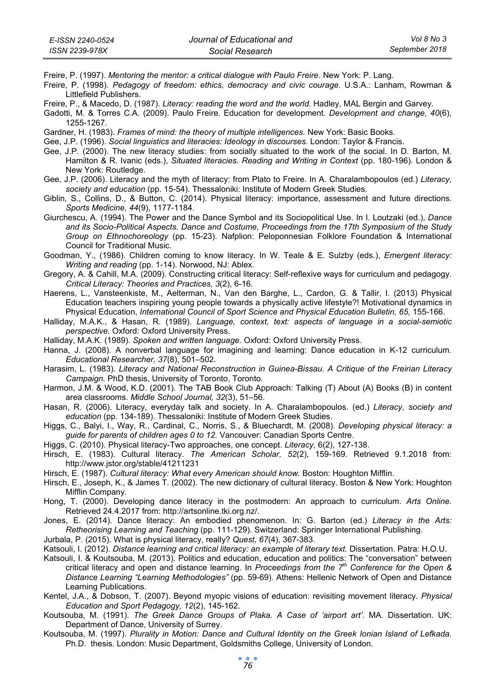Freire, P. (1997). *Mentoring the mentor: a critical dialogue with Paulo Freire*. New York: P. Lang.

Freire, P. (1998). *Pedagogy of freedom: ethics, democracy and civic courage.* U.S.A.: Lanham, Rowman & Littlefield Publishers.

Freire, P., & Macedo, D. (1987). *Literacy: reading the word and the world.* Hadley, MAL Bergin and Garvey.

Gadotti, M. & Torres C.A. (2009). Paulo Freire. Education for development. *Development and change, 40*(6), 1255-1267.

Gardner, H. (1983). *Frames of mind: the theory of multiple intelligences.* New York: Basic Books.

Gee, J.P. (1996). *Social linguistics and literacies: Ideology in discourses.* London: Taylor & Francis.

- Gee, J.P. (2000). The new literacy studies: from socially situated to the work of the social. In D. Barton, M. Hamilton & R. Ivanic (eds.), *Situated literacies. Reading and Writing in Context* (pp. 180-196). London & New York: Routledge.
- Gee, J.P. (2006). Literacy and the myth of literacy: from Plato to Freire. In A. Charalambopoulos (ed.) *Literacy, society and education* (pp. 15-54). Thessaloniki: Institute of Modern Greek Studies.
- Giblin, S., Collins, D., & Button, C. (2014). Physical literacy: importance, assessment and future directions. *Sports Medicine, 44*(9), 1177-1184.
- Giurchescu, A. (1994). The Power and the Dance Symbol and its Sociopolitical Use. In I. Loutzaki (ed.), *Dance and its Socio-Political Aspects. Dance and Costume, Proceedings from the 17th Symposium of the Study Group on Ethnochoreology* (pp. 15-23). Nafplion: Peloponnesian Folklore Foundation & International Council for Traditional Music.

Goodman, Y., (1986). Children coming to know literacy. In W. Teale & E. Sulzby (eds.), *Emergent literacy: Writing and reading* (pp. 1-14). Norwood, NJ: Ablex.

- Gregory, A. & Cahill, M.A. (2009). Constructing critical literacy: Self-reflexive ways for curriculum and pedagogy. *Critical Literacy: Theories and Practices, 3*(2), 6-16.
- Haerens, L., Vansteenkiste, M., Aelterman, N., Van den Barghe, L., Cardon, G. & Tallir, I. (2013) Physical Education teachers inspiring young people towards a physically active lifestyle?! Motivational dynamics in Physical Education, *International Council of Sport Science and Physical Education Bulletin, 65,* 155-166.
- Halliday, M.A.K., & Hasan, R. (1989). *Language, context, text: aspects of language in a social-semiotic perspective.* Oxford: Oxford University Press.

Halliday, M.A.K. (1989). *Spoken and written language.* Oxford: Oxford University Press.

Hanna, J. (2008). A nonverbal language for imagining and learning: Dance education in K-12 curriculum. *Educational Researcher, 37*(8), 501–502.

Harasim, L. (1983). *Literacy and National Reconstruction in Guinea-Bissau. A Critique of the Freirian Literacy Campaign.* PhD thesis, University of Toronto, Toronto.

- Harmon, J.M. & Wood, K.D. (2001). The TAB Book Club Approach: Talking (T) About (A) Books (B) in content area classrooms. *Middle School Journal, 32*(3), 51–56.
- Hasan, R. (2006). Literacy, everyday talk and society. In A. Charalambopoulos. (ed.) *Literacy, society and education* (pp. 134-189). Thessaloniki: Institute of Modern Greek Studies.
- Higgs, C., Balyi, I., Way, R., Cardinal, C., Norris, S., & Bluechardt, M. (2008). *Developing physical literacy: a guide for parents of children ages 0 to 12.* Vancouver: Canadian Sports Centre.

Higgs, C. (2010). Physical literacy-Two approaches, one concept. *Literacy,* 6(2), 127-138.

- Hirsch, E. (1983). Cultural literacy. *The American Scholar, 52*(2), 159-169. Retrieved 9.1.2018 from: http://www.jstor.org/stable/41211231
- Hirsch, E. (1987). *Cultural literacy: What every American should know.* Boston: Houghton Mifflin.
- Hirsch, E., Joseph, K., & James T. (2002). The new dictionary of cultural literacy. Boston & New York: Houghton Mifflin Company.
- Hong, T. (2000). Developing dance literacy in the postmodern: An approach to curriculum. *Arts Online.* Retrieved 24.4.2017 from: http://artsonline.tki.org.nz/.
- Jones, E. (2014). Dance literacy: An embodied phenomenon. In: G. Barton (ed.) *Literacy in the Arts: Retheorising Learning and Teaching* (pp. 111-129)*.* Switzerland: Springer International Publishing.
- Jurbala, P. (2015). What is physical literacy, really? *Quest, 67*(4), 367-383.

Katsouli, Ι. (2012). *Distance learning and critical literacy: an example of literary text.* Dissertation. Patra: H.O.U.

- Katsouli, Ι. & Koutsouba, Μ. (2013). Politics and education, education and politics: The "conversation" between critical literacy and open and distance learning. In *Proceedings from the 7th Conference for the Open & Distance Learning "Learning Methodologies"* (pp. 59-69). Athens: Hellenic Network of Open and Distance Learning Publications.
- Kentel, J.A., & Dobson, T. (2007). Beyond myopic visions of education: revisiting movement literacy. *Physical Education and Sport Pedagogy, 12*(2), 145-162.
- Koutsouba, M. (1991). *The Greek Dance Groups of Plaka. A Case of 'airport art'.* MA. Dissertation. UK: Department of Dance, University of Surrey.
- Koutsouba, M. (1997). *Plurality in Motion: Dance and Cultural Identity on the Greek Ionian Island of Lefkada*. Ph.D. thesis. London: Music Department, Goldsmiths College, University of London.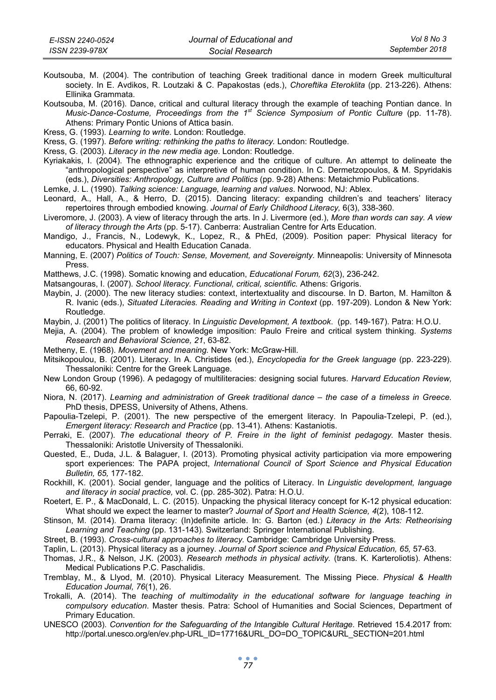Koutsouba, Μ. (2004). The contribution of teaching Greek traditional dance in modern Greek multicultural society. In E. Avdikos, R. Loutzaki & C. Papakostas (eds.), *Choreftika Eteroklita* (pp. 213-226). Athens: Ellinika Grammata.

Koutsouba, Μ. (2016). Dance, critical and cultural literacy through the example of teaching Pontian dance. In *Music-Dance-Costume, Proceedings from the 1st Science Symposium of Pontic Culture* (pp. 11-78). Athens: Primary Pontic Unions of Attica basin.

Kress, G. (1993). *Learning to write.* London: Routledge.

Kress, G. (1997). *Before writing: rethinking the paths to literacy.* London: Routledge.

Kress, G. (2003). *Literacy in the new media age*. London: Routledge.

Kyriakakis, Ι. (2004). The ethnographic experience and the critique of culture. An attempt to delineate the "anthropological perspective" as interpretive of human condition. In C. Dermetzopoulos, & M. Spyridakis (eds.), *Diversities: Anthropology, Culture and Politics* (pp. 9-28) Athens: Metaichmio Publications.

Lemke, J. L. (1990). *Talking science: Language, learning and values*. Norwood, NJ: Ablex.

- Leonard, A., Hall, A., & Herro, D. (2015). Dancing literacy: expanding children's and teachers' literacy repertoires through embodied knowing. *Journal of Early Childhood Literacy,* 6(3), 338-360.
- Liveromore, J. (2003). A view of literacy through the arts. In J. Livermore (ed.), *More than words can say. A view of literacy through the Arts* (pp. 5-17). Canberra: Australian Centre for Arts Education.
- Mandigo, J., Francis, N., Lodewyk, K., Lopez, R., & PhEd, (2009). Position paper: Physical literacy for educators. Physical and Health Education Canada.
- Manning, E. (2007) *Politics of Touch: Sense, Movement, and Sovereignty.* Minneapolis: University of Minnesota Press.

Matthews, J.C. (1998). Somatic knowing and education, *Educational Forum, 62*(3), 236-242.

Matsangouras, I. (2007). *School literacy. Functional, critical, scientific.* Athens: Grigoris.

- Maybin, J. (2000). The new literacy studies: context, intertextuality and discourse. In D. Barton, M. Hamilton & R. Ivanic (eds.), *Situated Literacies. Reading and Writing in Context* (pp. 197-209). London & New York: Routledge.
- Maybin, J. (2001) The politics of literacy. In *Linguistic Development, A textbook*. (pp. 149-167). Patra: H.O.U.
- Mejia, A. (2004). The problem of knowledge imposition: Paulo Freire and critical system thinking. *Systems Research and Behavioral Science, 21*, 63-82.

Metheny, E. (1968). *Movement and meaning.* New York: McGraw-Hill.

- Mitsikopoulou, B. (2001). Literacy. In Α. Christides (ed.), *Encyclopedia for the Greek language* (pp. 223-229). Thessaloniki: Centre for the Greek Language.
- New London Group (1996). A pedagogy of multiliteracies: designing social futures. *Harvard Education Review,* 66, 60-92.
- Niora, N. (2017). *Learning and administration of Greek traditional dance the case of a timeless in Greece.* PhD thesis, DPESS, University of Athens, Athens.
- Papoulia-Tzelepi, P. (2001). The new perspective of the emergent literacy. In Papoulia-Tzelepi, P. (ed.), *Emergent literacy: Research and Practice* (pp. 13-41). Athens: Kastaniotis.
- Perraki, Ε. (2007). *The educational theory of P. Freire in the light of feminist pedagogy.* Master thesis. Thessaloniki: Aristotle University of Thessaloniki.
- Quested, E., Duda, J.L. & Balaguer, I. (2013). Promoting physical activity participation via more empowering sport experiences: The PAPA project, *International Council of Sport Science and Physical Education Bulletin, 65,* 177-182.
- Rockhill, K. (2001). Social gender, language and the politics of Literacy. In *Linguistic development, language and literacy in social practice,* vol. C. (pp. 285-302). Patra: H.O.U.
- Roetert, E. P., & MacDonald, L. C. (2015). Unpacking the physical literacy concept for K-12 physical education: What should we expect the learner to master? *Journal of Sport and Health Science, 4*(2), 108-112.
- Stinson, M. (2014). Drama literacy: (In)definite article. In: G. Barton (ed.) *Literacy in the Arts: Retheorising Learning and Teaching* (pp. 131-143)*.* Switzerland: Springer International Publishing.

Street, B. (1993). *Cross-cultural approaches to literacy.* Cambridge: Cambridge University Press.

- Taplin, L. (2013). Physical literacy as a journey. *Journal of Sport science and Physical Education, 65,* 57-63.
- Thomas, J.R., & Nelson, J.K. (2003). *Research methods in physical activity.* (trans. Κ. Karteroliotis). Athens: Medical Publications P.C. Paschalidis.
- Tremblay, M., & Llyod, M. (2010). Physical Literacy Measurement. The Missing Piece. *Physical & Health Education Journal, 76*(1), 26.
- Trokalli, Α. (2014). The *teaching of multimodality in the educational software for language teaching in compulsory education*. Master thesis. Patra: School of Humanities and Social Sciences, Department of Primary Education.
- UNESCO (2003). *Convention for the Safeguarding of the Intangible Cultural Heritage*. Retrieved 15.4.2017 from: http://portal.unesco.org/en/ev.php-URL\_ID=17716&URL\_DO=DO\_TOPIC&URL\_SECTION=201.html